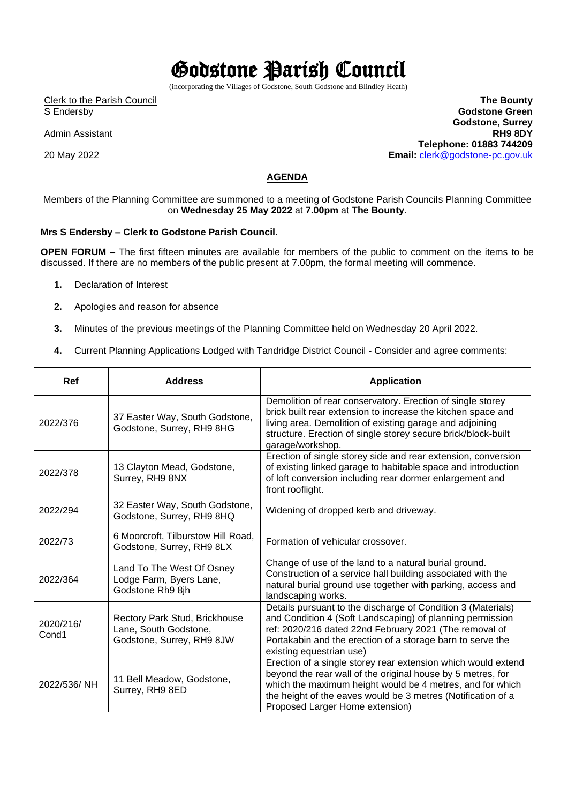## Godstone Parish Council

(incorporating the Villages of Godstone, South Godstone and Blindley Heath)

Clerk to the Parish Council S Endersby

Admin Assistant

20 May 2022

**The Bounty Godstone Green Godstone, Surrey RH9 8DY Telephone: 01883 744209 Email:** [clerk@godstone-pc.gov.uk](about:blank)

## **AGENDA**

Members of the Planning Committee are summoned to a meeting of Godstone Parish Councils Planning Committee on **Wednesday 25 May 2022** at **7.00pm** at **The Bounty**.

## **Mrs S Endersby – Clerk to Godstone Parish Council.**

**OPEN FORUM** – The first fifteen minutes are available for members of the public to comment on the items to be discussed. If there are no members of the public present at 7.00pm, the formal meeting will commence.

- **1.** Declaration of Interest
- **2.** Apologies and reason for absence
- **3.** Minutes of the previous meetings of the Planning Committee held on Wednesday 20 April 2022.
- **4.** Current Planning Applications Lodged with Tandridge District Council Consider and agree comments:

| Ref                | <b>Address</b>                                                                      | <b>Application</b>                                                                                                                                                                                                                                                                           |
|--------------------|-------------------------------------------------------------------------------------|----------------------------------------------------------------------------------------------------------------------------------------------------------------------------------------------------------------------------------------------------------------------------------------------|
| 2022/376           | 37 Easter Way, South Godstone,<br>Godstone, Surrey, RH9 8HG                         | Demolition of rear conservatory. Erection of single storey<br>brick built rear extension to increase the kitchen space and<br>living area. Demolition of existing garage and adjoining<br>structure. Erection of single storey secure brick/block-built<br>garage/workshop.                  |
| 2022/378           | 13 Clayton Mead, Godstone,<br>Surrey, RH9 8NX                                       | Erection of single storey side and rear extension, conversion<br>of existing linked garage to habitable space and introduction<br>of loft conversion including rear dormer enlargement and<br>front rooflight.                                                                               |
| 2022/294           | 32 Easter Way, South Godstone,<br>Godstone, Surrey, RH9 8HQ                         | Widening of dropped kerb and driveway.                                                                                                                                                                                                                                                       |
| 2022/73            | 6 Moorcroft, Tilburstow Hill Road,<br>Godstone, Surrey, RH9 8LX                     | Formation of vehicular crossover.                                                                                                                                                                                                                                                            |
| 2022/364           | Land To The West Of Osney<br>Lodge Farm, Byers Lane,<br>Godstone Rh9 8jh            | Change of use of the land to a natural burial ground.<br>Construction of a service hall building associated with the<br>natural burial ground use together with parking, access and<br>landscaping works.                                                                                    |
| 2020/216/<br>Cond1 | Rectory Park Stud, Brickhouse<br>Lane, South Godstone,<br>Godstone, Surrey, RH9 8JW | Details pursuant to the discharge of Condition 3 (Materials)<br>and Condition 4 (Soft Landscaping) of planning permission<br>ref: 2020/216 dated 22nd February 2021 (The removal of<br>Portakabin and the erection of a storage barn to serve the<br>existing equestrian use)                |
| 2022/536/NH        | 11 Bell Meadow, Godstone,<br>Surrey, RH9 8ED                                        | Erection of a single storey rear extension which would extend<br>beyond the rear wall of the original house by 5 metres, for<br>which the maximum height would be 4 metres, and for which<br>the height of the eaves would be 3 metres (Notification of a<br>Proposed Larger Home extension) |